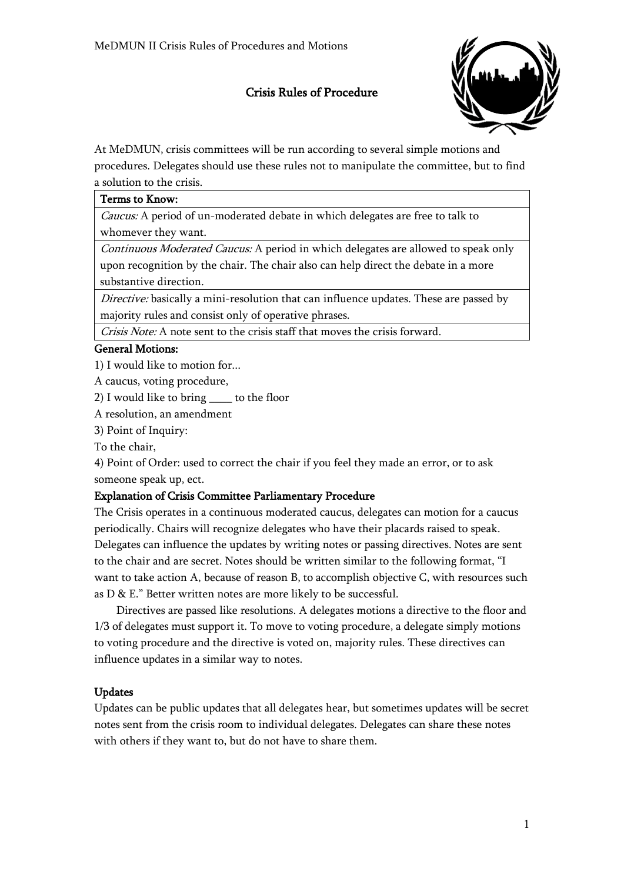## Crisis Rules of Procedure



At MeDMUN, crisis committees will be run according to several simple motions and procedures. Delegates should use these rules not to manipulate the committee, but to find a solution to the crisis.

#### Terms to Know:

Caucus: A period of un-moderated debate in which delegates are free to talk to whomever they want.

Continuous Moderated Caucus: A period in which delegates are allowed to speak only upon recognition by the chair. The chair also can help direct the debate in a more substantive direction.

Directive: basically a mini-resolution that can influence updates. These are passed by majority rules and consist only of operative phrases.

Crisis Note: A note sent to the crisis staff that moves the crisis forward.

#### General Motions:

1) I would like to motion for...

A caucus, voting procedure,

2) I would like to bring \_\_\_\_ to the floor

A resolution, an amendment

3) Point of Inquiry:

To the chair,

4) Point of Order: used to correct the chair if you feel they made an error, or to ask someone speak up, ect.

### Explanation of Crisis Committee Parliamentary Procedure

The Crisis operates in a continuous moderated caucus, delegates can motion for a caucus periodically. Chairs will recognize delegates who have their placards raised to speak. Delegates can influence the updates by writing notes or passing directives. Notes are sent to the chair and are secret. Notes should be written similar to the following format, "I want to take action A, because of reason B, to accomplish objective C, with resources such as D & E." Better written notes are more likely to be successful.

Directives are passed like resolutions. A delegates motions a directive to the floor and 1/3 of delegates must support it. To move to voting procedure, a delegate simply motions to voting procedure and the directive is voted on, majority rules. These directives can influence updates in a similar way to notes.

### Updates

Updates can be public updates that all delegates hear, but sometimes updates will be secret notes sent from the crisis room to individual delegates. Delegates can share these notes with others if they want to, but do not have to share them.